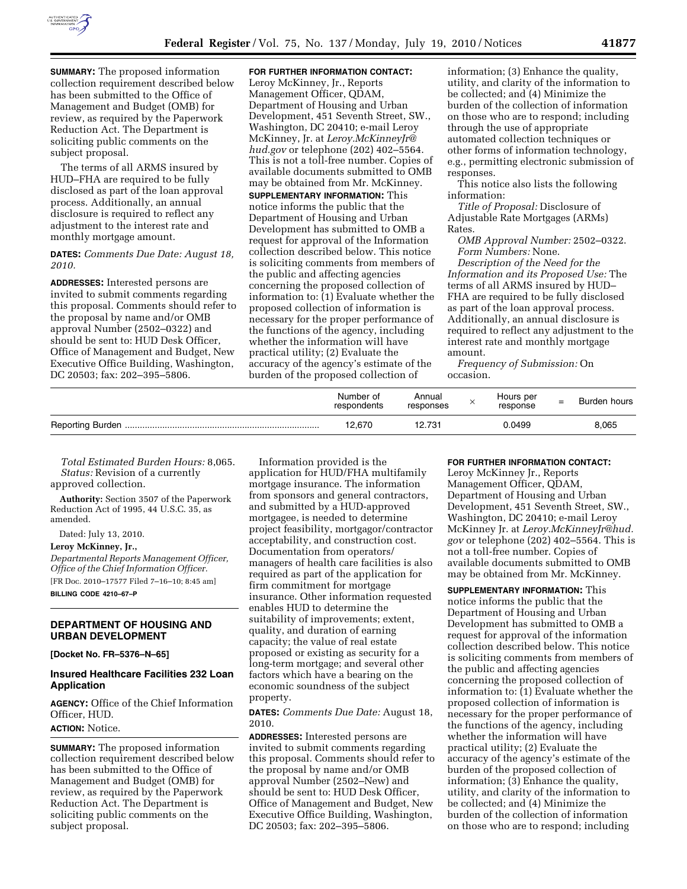

**FOR FURTHER INFORMATION CONTACT:** 

**SUMMARY:** The proposed information collection requirement described below has been submitted to the Office of Management and Budget (OMB) for review, as required by the Paperwork Reduction Act. The Department is soliciting public comments on the subject proposal.

The terms of all ARMS insured by HUD–FHA are required to be fully disclosed as part of the loan approval process. Additionally, an annual disclosure is required to reflect any adjustment to the interest rate and monthly mortgage amount.

### **DATES:** *Comments Due Date: August 18, 2010.*

**ADDRESSES:** Interested persons are invited to submit comments regarding this proposal. Comments should refer to the proposal by name and/or OMB approval Number (2502–0322) and should be sent to: HUD Desk Officer, Office of Management and Budget, New Executive Office Building, Washington, DC 20503; fax: 202–395–5806.

Leroy McKinney, Jr., Reports Management Officer, QDAM, Department of Housing and Urban Development, 451 Seventh Street, SW., Washington, DC 20410; e-mail Leroy McKinney, Jr. at *Leroy.McKinneyJr@ hud.gov* or telephone (202) 402–5564. This is not a toll-free number. Copies of available documents submitted to OMB may be obtained from Mr. McKinney. **SUPPLEMENTARY INFORMATION:** This notice informs the public that the Department of Housing and Urban Development has submitted to OMB a request for approval of the Information collection described below. This notice is soliciting comments from members of the public and affecting agencies concerning the proposed collection of information to: (1) Evaluate whether the proposed collection of information is necessary for the proper performance of the functions of the agency, including whether the information will have practical utility; (2) Evaluate the accuracy of the agency's estimate of the burden of the proposed collection of

information; (3) Enhance the quality, utility, and clarity of the information to be collected; and (4) Minimize the burden of the collection of information on those who are to respond; including through the use of appropriate automated collection techniques or other forms of information technology, e.g., permitting electronic submission of responses.

This notice also lists the following information:

*Title of Proposal:* Disclosure of Adjustable Rate Mortgages (ARMs) Rates.

*OMB Approval Number:* 2502–0322. *Form Numbers:* None.

*Description of the Need for the Information and its Proposed Use:* The terms of all ARMS insured by HUD– FHA are required to be fully disclosed as part of the loan approval process. Additionally, an annual disclosure is required to reflect any adjustment to the interest rate and monthly mortgage amount.

*Frequency of Submission:* On occasion.

| Number of<br>respondents | Annual<br>responses | Hours per<br>response | $=$ | Burden hours |
|--------------------------|---------------------|-----------------------|-----|--------------|
| 12,670                   | 12.731              | 0.0499                |     | 8,065        |

*Total Estimated Burden Hours:* 8,065. *Status:* Revision of a currently approved collection.

**Authority:** Section 3507 of the Paperwork Reduction Act of 1995, 44 U.S.C. 35, as amended.

Dated: July 13, 2010.

**Leroy McKinney, Jr.,** 

*Departmental Reports Management Officer, Office of the Chief Information Officer.*  [FR Doc. 2010–17577 Filed 7–16–10; 8:45 am] **BILLING CODE 4210–67–P** 

## **DEPARTMENT OF HOUSING AND URBAN DEVELOPMENT**

**[Docket No. FR–5376–N–65]** 

### **Insured Healthcare Facilities 232 Loan Application**

**AGENCY:** Office of the Chief Information Officer, HUD.

# **ACTION:** Notice.

**SUMMARY:** The proposed information collection requirement described below has been submitted to the Office of Management and Budget (OMB) for review, as required by the Paperwork Reduction Act. The Department is soliciting public comments on the subject proposal.

Information provided is the application for HUD/FHA multifamily mortgage insurance. The information from sponsors and general contractors, and submitted by a HUD-approved mortgagee, is needed to determine project feasibility, mortgagor/contractor acceptability, and construction cost. Documentation from operators/ managers of health care facilities is also required as part of the application for firm commitment for mortgage insurance. Other information requested enables HUD to determine the suitability of improvements; extent, quality, and duration of earning capacity; the value of real estate proposed or existing as security for a long-term mortgage; and several other factors which have a bearing on the economic soundness of the subject property.

**DATES:** *Comments Due Date:* August 18, 2010.

**ADDRESSES:** Interested persons are invited to submit comments regarding this proposal. Comments should refer to the proposal by name and/or OMB approval Number (2502–New) and should be sent to: HUD Desk Officer, Office of Management and Budget, New Executive Office Building, Washington, DC 20503; fax: 202–395–5806.

#### **FOR FURTHER INFORMATION CONTACT:**

Leroy McKinney Jr., Reports Management Officer, QDAM, Department of Housing and Urban Development, 451 Seventh Street, SW., Washington, DC 20410; e-mail Leroy McKinney Jr. at *Leroy.McKinneyJr@hud. gov* or telephone (202) 402–5564. This is not a toll-free number. Copies of available documents submitted to OMB may be obtained from Mr. McKinney.

**SUPPLEMENTARY INFORMATION:** This notice informs the public that the Department of Housing and Urban Development has submitted to OMB a request for approval of the information collection described below. This notice is soliciting comments from members of the public and affecting agencies concerning the proposed collection of information to: (1) Evaluate whether the proposed collection of information is necessary for the proper performance of the functions of the agency, including whether the information will have practical utility; (2) Evaluate the accuracy of the agency's estimate of the burden of the proposed collection of information; (3) Enhance the quality, utility, and clarity of the information to be collected; and (4) Minimize the burden of the collection of information on those who are to respond; including